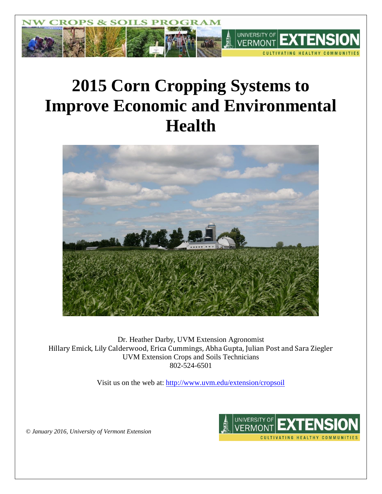

# **2015 Corn Cropping Systems to Improve Economic and Environmental Health**



Dr. Heather Darby, UVM Extension Agronomist Hillary Emick, Lily Calderwood, Erica Cummings, Abha Gupta, Julian Post and Sara Ziegler UVM Extension Crops and Soils Technicians 802-524-6501

Visit us on the web at: <http://www.uvm.edu/extension/cropsoil>



*© January 2016, University of Vermont Extension*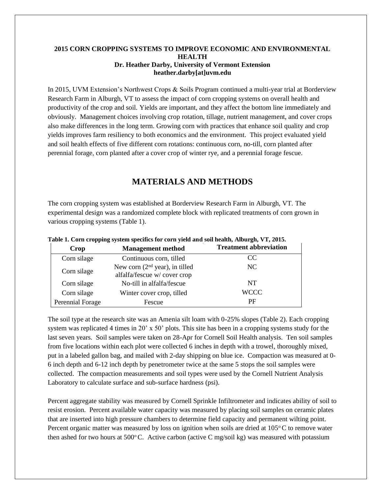### **2015 CORN CROPPING SYSTEMS TO IMPROVE ECONOMIC AND ENVIRONMENTAL HEALTH Dr. Heather Darby, University of Vermont Extension heather.darby[at]uvm.edu**

In 2015, UVM Extension's Northwest Crops & Soils Program continued a multi-year trial at Borderview Research Farm in Alburgh, VT to assess the impact of corn cropping systems on overall health and productivity of the crop and soil. Yields are important, and they affect the bottom line immediately and obviously. Management choices involving crop rotation, tillage, nutrient management, and cover crops also make differences in the long term. Growing corn with practices that enhance soil quality and crop yields improves farm resiliency to both economics and the environment. This project evaluated yield and soil health effects of five different corn rotations: continuous corn, no-till, corn planted after perennial forage, corn planted after a cover crop of winter rye, and a perennial forage fescue.

# **MATERIALS AND METHODS**

The corn cropping system was established at Borderview Research Farm in Alburgh, VT. The experimental design was a randomized complete block with replicated treatments of corn grown in various cropping systems (Table 1).

| Crop             | <b>Management method</b>                                         | <b>Treatment abbreviation</b> |
|------------------|------------------------------------------------------------------|-------------------------------|
| Corn silage      | Continuous corn, tilled                                          | CC.                           |
| Corn silage      | New corn $(2nd$ year), in tilled<br>alfalfa/fescue w/ cover crop | NC.                           |
| Corn silage      | No-till in alfalfa/fescue                                        | NT                            |
| Corn silage      | Winter cover crop, tilled                                        | <b>WCCC</b>                   |
| Perennial Forage | Fescue                                                           | PF                            |

**Table 1. Corn cropping system specifics for corn yield and soil health, Alburgh, VT, 2015.**

The soil type at the research site was an Amenia silt loam with 0-25% slopes (Table 2). Each cropping system was replicated 4 times in 20' x 50' plots. This site has been in a cropping systems study for the last seven years. Soil samples were taken on 28-Apr for Cornell Soil Health analysis. Ten soil samples from five locations within each plot were collected 6 inches in depth with a trowel, thoroughly mixed, put in a labeled gallon bag, and mailed with 2-day shipping on blue ice. Compaction was measured at 0- 6 inch depth and 6-12 inch depth by penetrometer twice at the same 5 stops the soil samples were collected. The compaction measurements and soil types were used by the Cornell Nutrient Analysis Laboratory to calculate surface and sub-surface hardness (psi).

Percent aggregate stability was measured by Cornell Sprinkle Infiltrometer and indicates ability of soil to resist erosion. Percent available water capacity was measured by placing soil samples on ceramic plates that are inserted into high pressure chambers to determine field capacity and permanent wilting point. Percent organic matter was measured by loss on ignition when soils are dried at  $105^{\circ}$ C to remove water then ashed for two hours at  $500^{\circ}$ C. Active carbon (active C mg/soil kg) was measured with potassium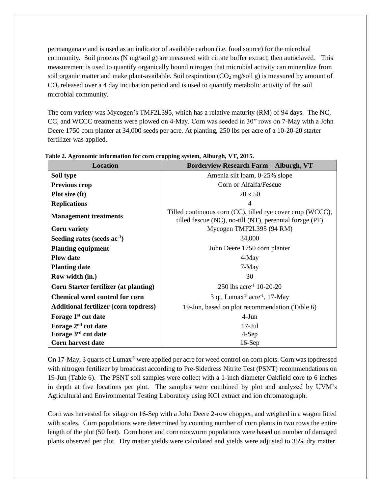permanganate and is used as an indicator of available carbon (i.e. food source) for the microbial community. Soil proteins (N mg/soil g) are measured with citrate buffer extract, then autoclaved. This measurement is used to quantify organically bound nitrogen that microbial activity can mineralize from soil organic matter and make plant-available. Soil respiration  $(CO<sub>2</sub>$  mg/soil g) is measured by amount of CO2 released over a 4 day incubation period and is used to quantify metabolic activity of the soil microbial community.

The corn variety was Mycogen's TMF2L395, which has a relative maturity (RM) of 94 days. The NC, CC, and WCCC treatments were plowed on 4-May. Corn was seeded in 30" rows on 7-May with a John Deere 1750 corn planter at 34,000 seeds per acre. At planting, 250 lbs per acre of a 10-20-20 starter fertilizer was applied.

| Location                                     | <b>Borderview Research Farm - Alburgh, VT</b>                                                                         |
|----------------------------------------------|-----------------------------------------------------------------------------------------------------------------------|
| Soil type                                    | Amenia silt loam, 0-25% slope                                                                                         |
| <b>Previous crop</b>                         | Corn or Alfalfa/Fescue                                                                                                |
| Plot size (ft)                               | $20 \times 50$                                                                                                        |
| <b>Replications</b>                          | 4                                                                                                                     |
| <b>Management treatments</b>                 | Tilled continuous corn (CC), tilled rye cover crop (WCCC),<br>tilled fescue (NC), no-till (NT), perennial forage (PF) |
| <b>Corn variety</b>                          | Mycogen TMF2L395 (94 RM)                                                                                              |
| Seeding rates (seeds $ac^{-1}$ )             | 34,000                                                                                                                |
| <b>Planting equipment</b>                    | John Deere 1750 corn planter                                                                                          |
| <b>Plow date</b>                             | 4-May                                                                                                                 |
| <b>Planting date</b>                         | 7-May                                                                                                                 |
| Row width (in.)                              | 30                                                                                                                    |
| <b>Corn Starter fertilizer (at planting)</b> | 250 lbs acre <sup>-1</sup> 10-20-20                                                                                   |
| <b>Chemical weed control for corn</b>        | 3 qt. Lumax <sup>®</sup> acre <sup>-1</sup> , 17-May                                                                  |
| <b>Additional fertilizer (corn topdress)</b> | 19-Jun, based on plot recommendation (Table 6)                                                                        |
| Forage 1 <sup>st</sup> cut date              | 4-Jun                                                                                                                 |
| Forage $2nd$ cut date                        | $17-Jul$                                                                                                              |
| Forage 3rd cut date                          | 4-Sep                                                                                                                 |
| Corn harvest date                            | $16-Sep$                                                                                                              |

**Table 2. Agronomic information for corn cropping system, Alburgh, VT, 2015.**

On 17-May, 3 quarts of Lumax® were applied per acre for weed control on corn plots. Corn was topdressed with nitrogen fertilizer by broadcast according to Pre-Sidedress Nitrite Test (PSNT) recommendations on 19-Jun (Table 6). The PSNT soil samples were collect with a 1-inch diameter Oakfield core to 6 inches in depth at five locations per plot. The samples were combined by plot and analyzed by UVM's Agricultural and Environmental Testing Laboratory using KCl extract and ion chromatograph.

Corn was harvested for silage on 16-Sep with a John Deere 2-row chopper, and weighed in a wagon fitted with scales. Corn populations were determined by counting number of corn plants in two rows the entire length of the plot (50 feet). Corn borer and corn rootworm populations were based on number of damaged plants observed per plot. Dry matter yields were calculated and yields were adjusted to 35% dry matter.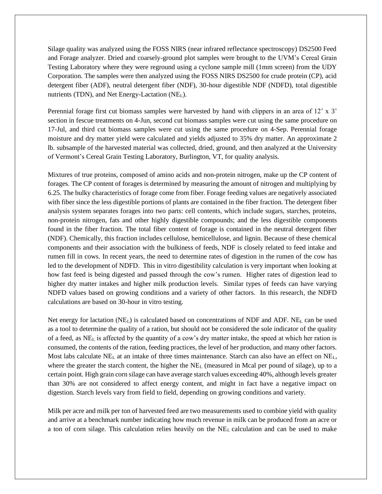Silage quality was analyzed using the FOSS NIRS (near infrared reflectance spectroscopy) DS2500 Feed and Forage analyzer. Dried and coarsely-ground plot samples were brought to the UVM's Cereal Grain Testing Laboratory where they were reground using a cyclone sample mill (1mm screen) from the UDY Corporation. The samples were then analyzed using the FOSS NIRS DS2500 for crude protein (CP), acid detergent fiber (ADF), neutral detergent fiber (NDF), 30-hour digestible NDF (NDFD), total digestible nutrients (TDN), and Net Energy-Lactation  $(NE_L)$ .

Perennial forage first cut biomass samples were harvested by hand with clippers in an area of 12' x 3' section in fescue treatments on 4-Jun, second cut biomass samples were cut using the same procedure on 17-Jul, and third cut biomass samples were cut using the same procedure on 4-Sep. Perennial forage moisture and dry matter yield were calculated and yields adjusted to 35% dry matter. An approximate 2 lb. subsample of the harvested material was collected, dried, ground, and then analyzed at the University of Vermont's Cereal Grain Testing Laboratory, Burlington, VT, for quality analysis.

Mixtures of true proteins, composed of amino acids and non-protein nitrogen, make up the CP content of forages. The CP content of forages is determined by measuring the amount of nitrogen and multiplying by 6.25. The bulky characteristics of forage come from fiber. Forage feeding values are negatively associated with fiber since the less digestible portions of plants are contained in the fiber fraction. The detergent fiber analysis system separates forages into two parts: cell contents, which include sugars, starches, proteins, non-protein nitrogen, fats and other highly digestible compounds; and the less digestible components found in the fiber fraction. The total fiber content of forage is contained in the neutral detergent fiber (NDF). Chemically, this fraction includes cellulose, hemicellulose, and lignin. Because of these chemical components and their association with the bulkiness of feeds, NDF is closely related to feed intake and rumen fill in cows. In recent years, the need to determine rates of digestion in the rumen of the cow has led to the development of NDFD. This in vitro digestibility calculation is very important when looking at how fast feed is being digested and passed through the cow's rumen. Higher rates of digestion lead to higher dry matter intakes and higher milk production levels. Similar types of feeds can have varying NDFD values based on growing conditions and a variety of other factors. In this research, the NDFD calculations are based on 30-hour in vitro testing.

Net energy for lactation (NEL) is calculated based on concentrations of NDF and ADF. NE<sup>L</sup> can be used as a tool to determine the quality of a ration, but should not be considered the sole indicator of the quality of a feed, as NE<sup>L</sup> is affected by the quantity of a cow's dry matter intake, the speed at which her ration is consumed, the contents of the ration, feeding practices, the level of her production, and many other factors. Most labs calculate NE<sup>L</sup> at an intake of three times maintenance. Starch can also have an effect on NEL, where the greater the starch content, the higher the  $NE<sub>L</sub>$  (measured in Mcal per pound of silage), up to a certain point. High grain corn silage can have average starch values exceeding 40%, although levels greater than 30% are not considered to affect energy content, and might in fact have a negative impact on digestion. Starch levels vary from field to field, depending on growing conditions and variety.

Milk per acre and milk per ton of harvested feed are two measurements used to combine yield with quality and arrive at a benchmark number indicating how much revenue in milk can be produced from an acre or a ton of corn silage. This calculation relies heavily on the NE<sup>L</sup> calculation and can be used to make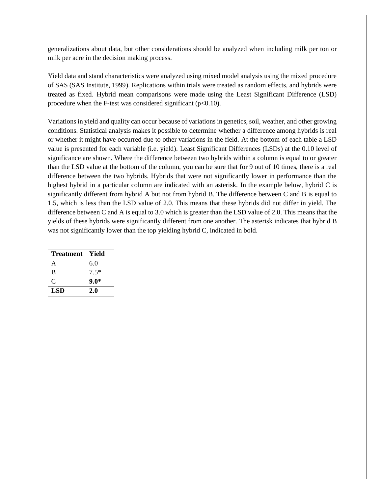generalizations about data, but other considerations should be analyzed when including milk per ton or milk per acre in the decision making process.

Yield data and stand characteristics were analyzed using mixed model analysis using the mixed procedure of SAS (SAS Institute, 1999). Replications within trials were treated as random effects, and hybrids were treated as fixed. Hybrid mean comparisons were made using the Least Significant Difference (LSD) procedure when the F-test was considered significant  $(p<0.10)$ .

Variations in yield and quality can occur because of variations in genetics, soil, weather, and other growing conditions. Statistical analysis makes it possible to determine whether a difference among hybrids is real or whether it might have occurred due to other variations in the field. At the bottom of each table a LSD value is presented for each variable (i.e. yield). Least Significant Differences (LSDs) at the 0.10 level of significance are shown. Where the difference between two hybrids within a column is equal to or greater than the LSD value at the bottom of the column, you can be sure that for 9 out of 10 times, there is a real difference between the two hybrids. Hybrids that were not significantly lower in performance than the highest hybrid in a particular column are indicated with an asterisk. In the example below, hybrid C is significantly different from hybrid A but not from hybrid B. The difference between C and B is equal to 1.5, which is less than the LSD value of 2.0. This means that these hybrids did not differ in yield. The difference between C and A is equal to 3.0 which is greater than the LSD value of 2.0. This means that the yields of these hybrids were significantly different from one another. The asterisk indicates that hybrid B was not significantly lower than the top yielding hybrid C, indicated in bold.

| <b>Treatment</b> | Yield  |
|------------------|--------|
| A                | 6.0    |
| B                | $7.5*$ |
| C                | $9.0*$ |
| <b>LSD</b>       | 2.0    |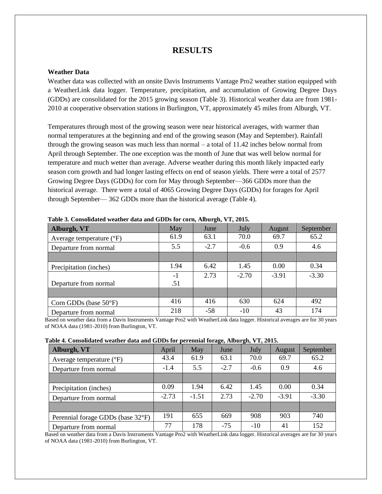# **RESULTS**

## **Weather Data**

Weather data was collected with an onsite Davis Instruments Vantage Pro2 weather station equipped with a WeatherLink data logger. Temperature, precipitation, and accumulation of Growing Degree Days (GDDs) are consolidated for the 2015 growing season (Table 3). Historical weather data are from 1981- 2010 at cooperative observation stations in Burlington, VT, approximately 45 miles from Alburgh, VT.

Temperatures through most of the growing season were near historical averages, with warmer than normal temperatures at the beginning and end of the growing season (May and September). Rainfall through the growing season was much less than normal – a total of 11.42 inches below normal from April through September. The one exception was the month of June that was well below normal for temperature and much wetter than average. Adverse weather during this month likely impacted early season corn growth and had longer lasting effects on end of season yields. There were a total of 2577 Growing Degree Days (GDDs) for corn for May through September—366 GDDs more than the historical average. There were a total of 4065 Growing Degree Days (GDDs) for forages for April through September— 362 GDDs more than the historical average (Table 4).

| Alburgh, VT                       | May  | $\sigma$ ,<br>June | July    | August  | September |
|-----------------------------------|------|--------------------|---------|---------|-----------|
| Average temperature $(^{\circ}F)$ | 61.9 | 63.1               | 70.0    | 69.7    | 65.2      |
| Departure from normal             | 5.5  | $-2.7$             | $-0.6$  | 0.9     | 4.6       |
|                                   |      |                    |         |         |           |
| Precipitation (inches)            | 1.94 | 6.42               | 1.45    | 0.00    | 0.34      |
|                                   | $-1$ | 2.73               | $-2.70$ | $-3.91$ | $-3.30$   |
| Departure from normal             | .51  |                    |         |         |           |
|                                   |      |                    |         |         |           |
| Corn GDDs (base $50^{\circ}$ F)   | 416  | 416                | 630     | 624     | 492       |
| Departure from normal             | 218  | $-58$              | $-10$   | 43      | 174       |

**Table 3. Consolidated weather data and GDDs for corn, Alburgh, VT, 2015.**

Based on weather data from a Davis Instruments Vantage Pro2 with WeatherLink data logger. Historical averages are for 30 years of NOAA data (1981-2010) from Burlington, VT.

| Table 4. Consolidated weather data and GDDs for perennial forage, Alburgh, VT, 2015. |  |
|--------------------------------------------------------------------------------------|--|
|--------------------------------------------------------------------------------------|--|

| Alburgh, VT                       | April   | May     | June   | July    | August  | September |
|-----------------------------------|---------|---------|--------|---------|---------|-----------|
| Average temperature $(^{\circ}F)$ | 43.4    | 61.9    | 63.1   | 70.0    | 69.7    | 65.2      |
| Departure from normal             | $-1.4$  | 5.5     | $-2.7$ | $-0.6$  | 0.9     | 4.6       |
|                                   |         |         |        |         |         |           |
| Precipitation (inches)            | 0.09    | 1.94    | 6.42   | 1.45    | 0.00    | 0.34      |
| Departure from normal             | $-2.73$ | $-1.51$ | 2.73   | $-2.70$ | $-3.91$ | $-3.30$   |
|                                   |         |         |        |         |         |           |
| Perennial forage GDDs (base 32°F) | 191     | 655     | 669    | 908     | 903     | 740       |
| Departure from normal             | 77      | 178     | $-75$  | $-10$   | 41      | 152       |

Based on weather data from a Davis Instruments Vantage Pro2 with WeatherLink data logger. Historical averages are for 30 years of NOAA data (1981-2010) from Burlington, VT.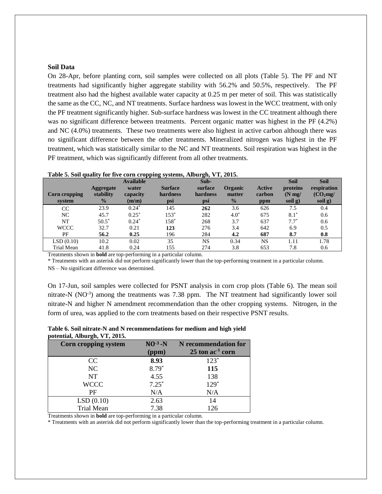#### **Soil Data**

On 28-Apr, before planting corn, soil samples were collected on all plots (Table 5). The PF and NT treatments had significantly higher aggregate stability with 56.2% and 50.5%, respectively. The PF treatment also had the highest available water capacity at 0.25 m per meter of soil. This was statistically the same as the CC, NC, and NT treatments. Surface hardness was lowest in the WCC treatment, with only the PF treatment significantly higher. Sub-surface hardness was lowest in the CC treatment although there was no significant difference between treatments. Percent organic matter was highest in the PF (4.2%) and NC (4.0%) treatments. These two treatments were also highest in active carbon although there was no significant difference between the other treatments. Mineralized nitrogen was highest in the PF treatment, which was statistically similar to the NC and NT treatments. Soil respiration was highest in the PF treatment, which was significantly different from all other treatments.

|                         | <b>Aggregate</b>           | <b>Available</b><br>water | --<br><b>Surface</b> | $\sigma$ ,<br>Sub-<br>surface | Organic                 | <b>Active</b> | <b>Soil</b><br><i>proteins</i> | <b>Soil</b><br>respiration      |
|-------------------------|----------------------------|---------------------------|----------------------|-------------------------------|-------------------------|---------------|--------------------------------|---------------------------------|
| Corn cropping<br>system | stability<br>$\frac{1}{2}$ | capacity<br>(m/m)         | hardness<br>psi      | hardness<br>psi               | matter<br>$\frac{0}{2}$ | carbon<br>ppm | $(N \text{ mg})$<br>soil g)    | (CO <sub>2</sub> mg)<br>soil g) |
| <b>CC</b>               | 23.9                       | $0.24*$                   | 145                  | 262                           | 3.6                     | 626           | 7.5                            | 0.4                             |
| NC                      | 45.7                       | $0.25*$                   | $153*$               | 282                           | $4.0*$                  | 675           | $8.1*$                         | 0.6                             |
| NT                      | $50.5^*$                   | $0.24*$                   | $158*$               | 268                           | 3.7                     | 637           | $7.7^*$                        | 0.6                             |
| <b>WCCC</b>             | 32.7                       | 0.21                      | 123                  | 276                           | 3.4                     | 642           | 6.9                            | 0.5                             |
| PF                      | 56.2                       | 0.25                      | 196                  | 284                           | 4.2                     | 687           | 8.7                            | 0.8                             |
| LSD(0.10)               | 10.2                       | 0.02                      | 35                   | NS                            | 0.34                    | <b>NS</b>     | 1.11                           | 1.78                            |
| Trial Mean              | 41.8                       | 0.24                      | 155                  | 274                           | 3.8                     | 653           | 7.8                            | 0.6                             |

|  | Table 5. Soil quality for five corn cropping systems, Alburgh, VT, 2015. |  |  |
|--|--------------------------------------------------------------------------|--|--|
|  |                                                                          |  |  |

Treatments shown in **bold** are top-performing in a particular column.

\* Treatments with an asterisk did not perform significantly lower than the top-performing treatment in a particular column.

NS – No significant difference was determined.

On 17-Jun, soil samples were collected for PSNT analysis in corn crop plots (Table 6). The mean soil nitrate-N (NO<sup>-3</sup>) among the treatments was 7.38 ppm. The NT treatment had significantly lower soil nitrate-N and higher N amendment recommendation than the other cropping systems. Nitrogen, in the form of urea, was applied to the corn treatments based on their respective PSNT results.

#### **Table 6. Soil nitrate-N and N recommendations for medium and high yield potential, Alburgh, VT, 2015.**

| Corn cropping system | $NO^{-3}$ -N<br>(ppm) | N recommendation for<br>$25$ ton ac <sup>-1</sup> corn |
|----------------------|-----------------------|--------------------------------------------------------|
| CC                   | 8.93                  | $123*$                                                 |
| NC                   | $8.79*$               | 115                                                    |
| <b>NT</b>            | 4.55                  | 138                                                    |
| <b>WCCC</b>          | $7.25*$               | $129*$                                                 |
| PF                   | N/A                   | N/A                                                    |
| LSD(0.10)            | 2.63                  | 14                                                     |
| <b>Trial Mean</b>    | 7.38                  | 126                                                    |

Treatments shown in **bold** are top-performing in a particular column.

\* Treatments with an asterisk did not perform significantly lower than the top-performing treatment in a particular column.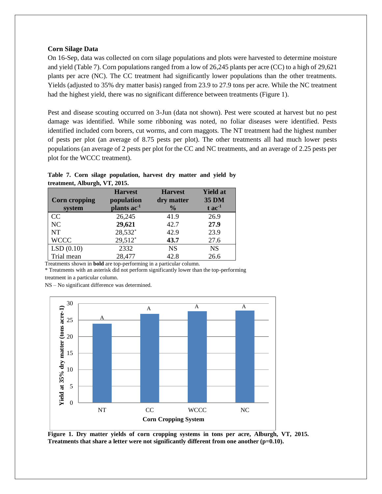#### **Corn Silage Data**

On 16-Sep, data was collected on corn silage populations and plots were harvested to determine moisture and yield (Table 7). Corn populations ranged from a low of 26,245 plants per acre (CC) to a high of 29,621 plants per acre (NC). The CC treatment had significantly lower populations than the other treatments. Yields (adjusted to 35% dry matter basis) ranged from 23.9 to 27.9 tons per acre. While the NC treatment had the highest yield, there was no significant difference between treatments (Figure 1).

Pest and disease scouting occurred on 3-Jun (data not shown). Pest were scouted at harvest but no pest damage was identified. While some ribboning was noted, no foliar diseases were identified. Pests identified included corn borers, cut worms, and corn maggots. The NT treatment had the highest number of pests per plot (an average of 8.75 pests per plot). The other treatments all had much lower pests populations (an average of 2 pests per plot for the CC and NC treatments, and an average of 2.25 pests per plot for the WCCC treatment).

## **Table 7. Corn silage population, harvest dry matter and yield by treatment, Alburgh, VT, 2015.**

| <b>Corn cropping</b><br>system | <b>Harvest</b><br>population<br>plants ac <sup>-1</sup> | <b>Harvest</b><br>dry matter<br>$\frac{0}{0}$ | <b>Yield at</b><br><b>35 DM</b><br>$t$ ac <sup>-1</sup> |
|--------------------------------|---------------------------------------------------------|-----------------------------------------------|---------------------------------------------------------|
| CC                             | 26,245                                                  | 41.9                                          | 26.9                                                    |
| NC                             | 29,621                                                  | 42.7                                          | 27.9                                                    |
| <b>NT</b>                      | 28,532*                                                 | 42.9                                          | 23.9                                                    |
| <b>WCCC</b>                    | 29,512*                                                 | 43.7                                          | 27.6                                                    |
| LSD(0.10)                      | 2332                                                    | <b>NS</b>                                     | <b>NS</b>                                               |
| Trial mean                     | 28,477                                                  | 42.8                                          | 26.6                                                    |

Treatments shown in **bold** are top-performing in a particular column.

\* Treatments with an asterisk did not perform significantly lower than the top-performing treatment in a particular column.

NS – No significant difference was determined.



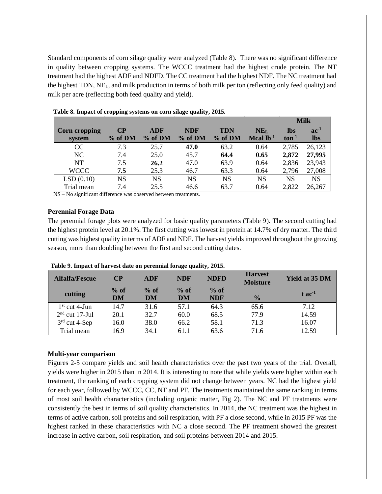Standard components of corn silage quality were analyzed (Table 8). There was no significant difference in quality between cropping systems. The WCCC treatment had the highest crude protein. The NT treatment had the highest ADF and NDFD. The CC treatment had the highest NDF. The NC treatment had the highest TDN, NEL, and milk production in terms of both milk per ton (reflecting only feed quality) and milk per acre (reflecting both feed quality and yield).

|                                |                       |                       |                       |                       |                                   |                       | <b>Milk</b>             |
|--------------------------------|-----------------------|-----------------------|-----------------------|-----------------------|-----------------------------------|-----------------------|-------------------------|
| <b>Corn cropping</b><br>system | $\bf CP$<br>$%$ of DM | <b>ADF</b><br>% of DM | <b>NDF</b><br>% of DM | <b>TDN</b><br>% of DM | NE <sub>L</sub><br>Mcal $lb^{-1}$ | <b>lbs</b><br>$ton-1$ | $ac^{-1}$<br><b>lbs</b> |
| CC                             | 7.3                   | 25.7                  | 47.0                  | 63.2                  | 0.64                              | 2,785                 | 26,123                  |
| NC                             | 7.4                   | 25.0                  | 45.7                  | 64.4                  | 0.65                              | 2,872                 | 27,995                  |
| <b>NT</b>                      | 7.5                   | 26.2                  | 47.0                  | 63.9                  | 0.64                              | 2,836                 | 23,943                  |
| <b>WCCC</b>                    | 7.5                   | 25.3                  | 46.7                  | 63.3                  | 0.64                              | 2,796                 | 27,008                  |
| LSD(0.10)                      | NS                    | NS                    | NS                    | <b>NS</b>             | <b>NS</b>                         | <b>NS</b>             | <b>NS</b>               |
| Trial mean                     | 7.4                   | 25.5                  | 46.6                  | 63.7                  | 0.64                              | 2,822                 | 26,267                  |

**Table 8. Impact of cropping systems on corn silage quality, 2015.**

NS – No significant difference was observed between treatments.

#### **Perennial Forage Data**

The perennial forage plots were analyzed for basic quality parameters (Table 9). The second cutting had the highest protein level at 20.1%. The first cutting was lowest in protein at 14.7% of dry matter. The third cutting was highest quality in terms of ADF and NDF. The harvest yields improved throughout the growing season, more than doubling between the first and second cutting dates.

| <b>Alfalfa/Fescue</b> | CР           | <b>ADF</b>   | <b>NDF</b>   | <b>NDFD</b>          | <b>Harvest</b><br><b>Moisture</b> | <b>Yield at 35 DM</b> |
|-----------------------|--------------|--------------|--------------|----------------------|-----------------------------------|-----------------------|
| cutting               | $%$ of<br>DM | $%$ of<br>DM | $%$ of<br>DM | $%$ of<br><b>NDF</b> | $\frac{0}{2}$                     | $t$ ac <sup>-1</sup>  |
| $1st$ cut 4-Jun       | 14.7         | 31.6         | 57.1         | 64.3                 | 65.6                              | 7.12                  |
| $2nd$ cut 17-Jul      | 20.1         | 32.7         | 60.0         | 68.5                 | 77.9                              | 14.59                 |
| $3rd$ cut 4-Sep       | 16.0         | 38.0         | 66.2         | 58.1                 | 71.3                              | 16.07                 |
| Trial mean            | 16.9         | 34.1         | 61.1         | 63.6                 | 71.6                              | 12.59                 |

**Table 9. Impact of harvest date on perennial forage quality, 2015.**

#### **Multi-year comparison**

Figures 2-5 compare yields and soil health characteristics over the past two years of the trial. Overall, yields were higher in 2015 than in 2014. It is interesting to note that while yields were higher within each treatment, the ranking of each cropping system did not change between years. NC had the highest yield for each year, followed by WCCC, CC, NT and PF. The treatments maintained the same ranking in terms of most soil health characteristics (including organic matter, Fig 2). The NC and PF treatments were consistently the best in terms of soil quality characteristics. In 2014, the NC treatment was the highest in terms of active carbon, soil proteins and soil respiration, with PF a close second, while in 2015 PF was the highest ranked in these characteristics with NC a close second. The PF treatment showed the greatest increase in active carbon, soil respiration, and soil proteins between 2014 and 2015.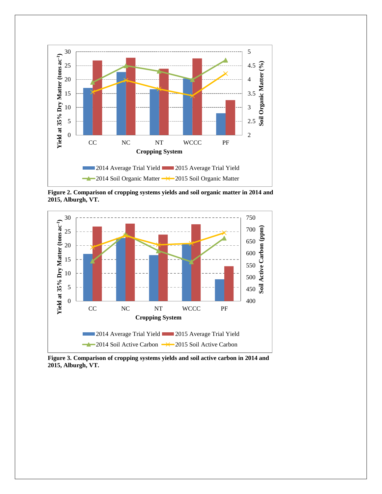

**Figure 2. Comparison of cropping systems yields and soil organic matter in 2014 and 2015, Alburgh, VT.**



**Figure 3. Comparison of cropping systems yields and soil active carbon in 2014 and 2015, Alburgh, VT.**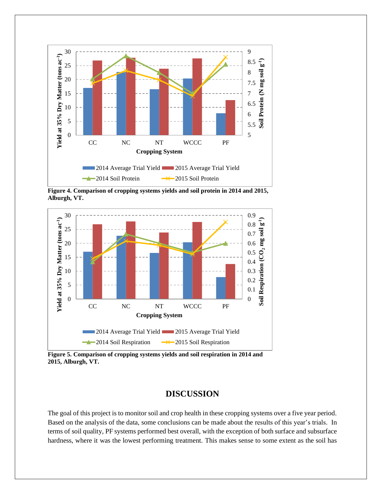

**Figure 4. Comparison of cropping systems yields and soil protein in 2014 and 2015, Alburgh, VT.**



**Figure 5. Comparison of cropping systems yields and soil respiration in 2014 and 2015, Alburgh, VT.**

## **DISCUSSION**

The goal of this project is to monitor soil and crop health in these cropping systems over a five year period. Based on the analysis of the data, some conclusions can be made about the results of this year's trials. In terms of soil quality, PF systems performed best overall, with the exception of both surface and subsurface hardness, where it was the lowest performing treatment. This makes sense to some extent as the soil has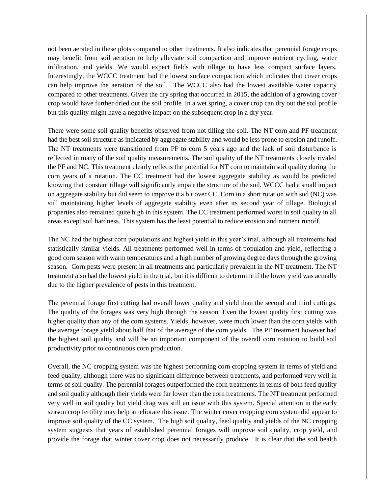not been aerated in these plots compared to other treatments. It also indicates that perennial forage crops may benefit from soil aeration to help alleviate soil compaction and improve nutrient cycling, water infiltration, and yields. We would expect fields with tillage to have less compact surface layers. Interestingly, the WCCC treatment had the lowest surface compaction which indicates that cover crops can help improve the aeration of the soil. The WCCC also had the lowest available water capacity compared to other treatments. Given the dry spring that occurred in 2015, the addition of a growing cover crop would have further dried out the soil profile. In a wet spring, a cover crop can dry out the soil profile but this quality might have a negative impact on the subsequent crop in a dry year.

There were some soil quality benefits observed from not tilling the soil. The NT corn and PF treatment had the best soil structure as indicated by aggregate stability and would be less prone to erosion and runoff. The NT treatments were transitioned from PF to corn 5 years ago and the lack of soil disturbance is reflected in many of the soil quality measurements. The soil quality of the NT treatments closely rivaled the PF and NC. This treatment clearly reflects the potential for NT corn to maintain soil quality during the corn years of a rotation. The CC treatment had the lowest aggregate stability as would be predicted knowing that constant tillage will significantly impair the structure of the soil. WCCC had a small impact on aggregate stability but did seem to improve it a bit over CC. Corn in a short rotation with sod (NC) was still maintaining higher levels of aggregate stability even after its second year of tillage. Biological properties also remained quite high in this system. The CC treatment performed worst in soil quality in all areas except soil hardness. This system has the least potential to reduce erosion and nutrient runoff.

The NC had the highest corn populations and highest yield in this year's trial, although all treatments had statistically similar yields. All treatments performed well in terms of population and yield, reflecting a good corn season with warm temperatures and a high number of growing degree days through the growing season. Corn pests were present in all treatments and particularly prevalent in the NT treatment. The NT treatment also had the lowest yield in the trial, but it is difficult to determine if the lower yield was actually due to the higher prevalence of pests in this treatment.

The perennial forage first cutting had overall lower quality and yield than the second and third cuttings. The quality of the forages was very high through the season. Even the lowest quality first cutting was higher quality than any of the corn systems. Yields, however, were much lower than the corn yields with the average forage yield about half that of the average of the corn yields. The PF treatment however had the highest soil quality and will be an important component of the overall corn rotation to build soil productivity prior to continuous corn production.

Overall, the NC cropping system was the highest performing corn cropping system in terms of yield and feed quality, although there was no significant difference between treatments, and performed very well in terms of soil quality. The perennial forages outperformed the corn treatments in terms of both feed quality and soil quality although their yields were far lower than the corn treatments. The NT treatment performed very well in soil quality but yield drag was still an issue with this system. Special attention in the early season crop fertility may help ameliorate this issue. The winter cover cropping corn system did appear to improve soil quality of the CC system. The high soil quality, feed quality and yields of the NC cropping system suggests that years of established perennial forages will improve soil quality, crop yield, and provide the forage that winter cover crop does not necessarily produce. It is clear that the soil health